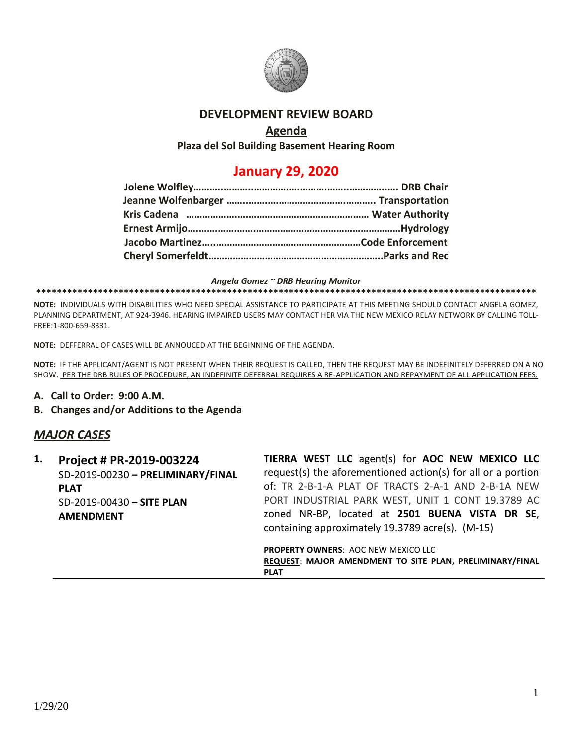

## **DEVELOPMENT REVIEW BOARD**

## **Agenda**

**Plaza del Sol Building Basement Hearing Room**

## **January 29, 2020**

#### *Angela Gomez ~ DRB Hearing Monitor*

#### **\*\*\*\*\*\*\*\*\*\*\*\*\*\*\*\*\*\*\*\*\*\*\*\*\*\*\*\*\*\*\*\*\*\*\*\*\*\*\*\*\*\*\*\*\*\*\*\*\*\*\*\*\*\*\*\*\*\*\*\*\*\*\*\*\*\*\*\*\*\*\*\*\*\*\*\*\*\*\*\*\*\*\*\*\*\*\*\*\*\*\*\*\*\*\*\*\***

**NOTE:** INDIVIDUALS WITH DISABILITIES WHO NEED SPECIAL ASSISTANCE TO PARTICIPATE AT THIS MEETING SHOULD CONTACT ANGELA GOMEZ, PLANNING DEPARTMENT, AT 924-3946. HEARING IMPAIRED USERS MAY CONTACT HER VIA THE NEW MEXICO RELAY NETWORK BY CALLING TOLL-FREE:1-800-659-8331.

**NOTE:** DEFFERRAL OF CASES WILL BE ANNOUCED AT THE BEGINNING OF THE AGENDA.

**NOTE:** IF THE APPLICANT/AGENT IS NOT PRESENT WHEN THEIR REQUEST IS CALLED, THEN THE REQUEST MAY BE INDEFINITELY DEFERRED ON A NO SHOW. PER THE DRB RULES OF PROCEDURE, AN INDEFINITE DEFERRAL REQUIRES A RE-APPLICATION AND REPAYMENT OF ALL APPLICATION FEES.

### **A. Call to Order: 9:00 A.M.**

### **B. Changes and/or Additions to the Agenda**

### *MAJOR CASES*

| 1. | Project # PR-2019-003224          | TIERRA WEST LLC agent(s) for AOC NEW MEXICO LLC              |
|----|-----------------------------------|--------------------------------------------------------------|
|    | SD-2019-00230 - PRELIMINARY/FINAL | request(s) the aforementioned action(s) for all or a portion |
|    | <b>PLAT</b>                       | of: TR 2-B-1-A PLAT OF TRACTS 2-A-1 AND 2-B-1A NEW           |
|    | SD-2019-00430 - SITE PLAN         | PORT INDUSTRIAL PARK WEST, UNIT 1 CONT 19.3789 AC            |
|    | <b>AMENDMENT</b>                  | zoned NR-BP, located at 2501 BUENA VISTA DR SE,              |
|    |                                   | containing approximately 19.3789 acre(s). (M-15)             |
|    |                                   | <b>PROPERTY OWNERS: AOC NEW MEXICO LLC</b>                   |
|    |                                   | REQUEST: MAJOR AMENDMENT TO SITE PLAN, PRELIMINARY/FINAL     |

**PLAT**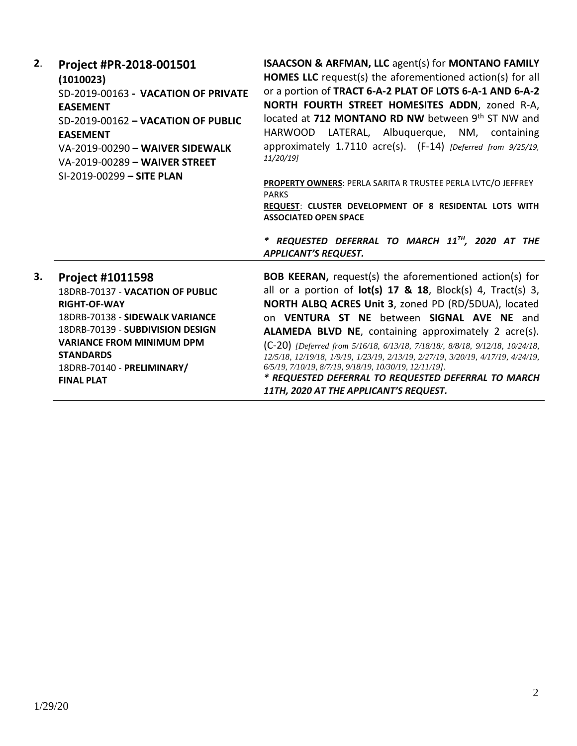| 2. | Project #PR-2018-001501<br>(1010023)<br>SD-2019-00163 - VACATION OF PRIVATE<br><b>EASEMENT</b><br>SD-2019-00162 - VACATION OF PUBLIC<br><b>EASEMENT</b><br>VA-2019-00290 - WAIVER SIDEWALK<br>VA-2019-00289 - WAIVER STREET<br>SI-2019-00299 - SITE PLAN             | <b>ISAACSON &amp; ARFMAN, LLC agent(s) for MONTANO FAMILY</b><br><b>HOMES LLC</b> request(s) the aforementioned action(s) for all<br>or a portion of TRACT 6-A-2 PLAT OF LOTS 6-A-1 AND 6-A-2<br>NORTH FOURTH STREET HOMESITES ADDN, zoned R-A,<br>located at 712 MONTANO RD NW between 9th ST NW and<br>HARWOOD LATERAL, Albuquerque, NM, containing<br>approximately 1.7110 acre(s). (F-14) [Deferred from 9/25/19,<br>11/20/19]<br>PROPERTY OWNERS: PERLA SARITA R TRUSTEE PERLA LVTC/O JEFFREY<br><b>PARKS</b><br>REQUEST: CLUSTER DEVELOPMENT OF 8 RESIDENTAL LOTS WITH<br><b>ASSOCIATED OPEN SPACE</b><br>* REQUESTED DEFERRAL TO MARCH 11TH, 2020 AT THE |
|----|----------------------------------------------------------------------------------------------------------------------------------------------------------------------------------------------------------------------------------------------------------------------|-----------------------------------------------------------------------------------------------------------------------------------------------------------------------------------------------------------------------------------------------------------------------------------------------------------------------------------------------------------------------------------------------------------------------------------------------------------------------------------------------------------------------------------------------------------------------------------------------------------------------------------------------------------------|
|    |                                                                                                                                                                                                                                                                      | <b>APPLICANT'S REQUEST.</b>                                                                                                                                                                                                                                                                                                                                                                                                                                                                                                                                                                                                                                     |
| 3. | <b>Project #1011598</b><br>18DRB-70137 - VACATION OF PUBLIC<br><b>RIGHT-OF-WAY</b><br>18DRB-70138 - SIDEWALK VARIANCE<br>18DRB-70139 - SUBDIVISION DESIGN<br><b>VARIANCE FROM MINIMUM DPM</b><br><b>STANDARDS</b><br>18DRB-70140 - PRELIMINARY/<br><b>FINAL PLAT</b> | <b>BOB KEERAN, request(s) the aforementioned action(s) for</b><br>all or a portion of $lot(s)$ 17 & 18, Block(s) 4, Tract(s) 3,<br>NORTH ALBQ ACRES Unit 3, zoned PD (RD/5DUA), located<br>on VENTURA ST NE between SIGNAL AVE NE and<br>ALAMEDA BLVD NE, containing approximately 2 acre(s).<br>(C-20) [Deferred from 5/16/18, 6/13/18, 7/18/18/, 8/8/18, 9/12/18, 10/24/18,<br>12/5/18, 12/19/18, 1/9/19, 1/23/19, 2/13/19, 2/27/19, 3/20/19, 4/17/19, 4/24/19,<br>6/5/19, 7/10/19, 8/7/19, 9/18/19, 10/30/19, 12/11/19].<br>* REQUESTED DEFERRAL TO REQUESTED DEFERRAL TO MARCH<br>11TH, 2020 AT THE APPLICANT'S REQUEST.                                    |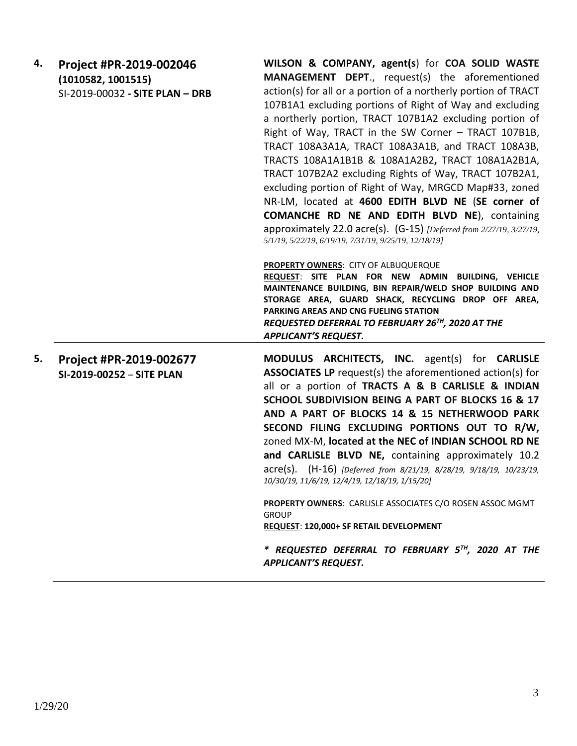| <b>MANAGEMENT DEPT., request(s) the aforementioned</b><br>action(s) for all or a portion of a northerly portion of TRACT<br>107B1A1 excluding portions of Right of Way and excluding<br>a northerly portion, TRACT 107B1A2 excluding portion of<br>Right of Way, TRACT in the SW Corner - TRACT 107B1B,<br>TRACT 108A3A1A, TRACT 108A3A1B, and TRACT 108A3B,<br>TRACTS 108A1A1B1B & 108A1A2B2, TRACT 108A1A2B1A,<br>TRACT 107B2A2 excluding Rights of Way, TRACT 107B2A1,<br>excluding portion of Right of Way, MRGCD Map#33, zoned<br>NR-LM, located at 4600 EDITH BLVD NE (SE corner of<br><b>COMANCHE RD NE AND EDITH BLVD NE), containing</b><br>approximately 22.0 acre(s). (G-15) [Deferred from 2/27/19, 3/27/19,<br>5/1/19, 5/22/19, 6/19/19, 7/31/19, 9/25/19, 12/18/19] |
|-----------------------------------------------------------------------------------------------------------------------------------------------------------------------------------------------------------------------------------------------------------------------------------------------------------------------------------------------------------------------------------------------------------------------------------------------------------------------------------------------------------------------------------------------------------------------------------------------------------------------------------------------------------------------------------------------------------------------------------------------------------------------------------|
| PROPERTY OWNERS: CITY OF ALBUQUERQUE<br>REQUEST: SITE PLAN FOR NEW ADMIN BUILDING, VEHICLE<br>MAINTENANCE BUILDING, BIN REPAIR/WELD SHOP BUILDING AND<br>STORAGE AREA, GUARD SHACK, RECYCLING DROP OFF AREA,<br><b>PARKING AREAS AND CNG FUELING STATION</b><br>REQUESTED DEFERRAL TO FEBRUARY 26 <sup>TH</sup> , 2020 AT THE<br><b>APPLICANT'S REQUEST.</b>                                                                                                                                                                                                                                                                                                                                                                                                                      |
| MODULUS ARCHITECTS, INC. agent(s) for CARLISLE<br><b>ASSOCIATES LP</b> request(s) the aforementioned action(s) for<br>all or a portion of TRACTS A & B CARLISLE & INDIAN<br>SCHOOL SUBDIVISION BEING A PART OF BLOCKS 16 & 17<br>AND A PART OF BLOCKS 14 & 15 NETHERWOOD PARK<br>SECOND FILING EXCLUDING PORTIONS OUT TO R/W,<br>zoned MX-M, located at the NEC of INDIAN SCHOOL RD NE<br>and CARLISLE BLVD NE, containing approximately 10.2<br>acre(s). (H-16) [Deferred from 8/21/19, 8/28/19, 9/18/19, 10/23/19,<br>10/30/19, 11/6/19, 12/4/19, 12/18/19, 1/15/20]<br><b>PROPERTY OWNERS: CARLISLE ASSOCIATES C/O ROSEN ASSOC MGMT</b><br><b>GROUP</b><br>REQUEST: 120,000+ SF RETAIL DEVELOPMENT<br>* REQUESTED DEFERRAL TO FEBRUARY 5TH, 2020 AT THE                        |
|                                                                                                                                                                                                                                                                                                                                                                                                                                                                                                                                                                                                                                                                                                                                                                                   |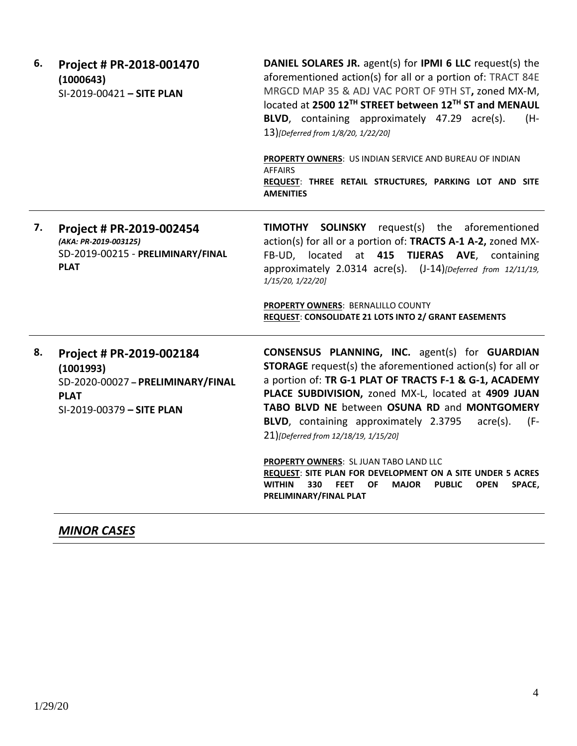| 6. | Project # PR-2018-001470<br>(1000643)<br>SI-2019-00421 - SITE PLAN                                                     | <b>DANIEL SOLARES JR.</b> agent(s) for <b>IPMI 6 LLC</b> request(s) the<br>aforementioned action(s) for all or a portion of: TRACT 84E<br>MRGCD MAP 35 & ADJ VAC PORT OF 9TH ST, zoned MX-M,<br>located at 2500 12TH STREET between 12TH ST and MENAUL<br>BLVD, containing approximately 47.29 acre(s).<br>(H-<br>13)[Deferred from 1/8/20, 1/22/20]<br>PROPERTY OWNERS: US INDIAN SERVICE AND BUREAU OF INDIAN<br><b>AFFAIRS</b><br>REQUEST: THREE RETAIL STRUCTURES, PARKING LOT AND SITE<br><b>AMENITIES</b>                                                                                                                                           |
|----|------------------------------------------------------------------------------------------------------------------------|-----------------------------------------------------------------------------------------------------------------------------------------------------------------------------------------------------------------------------------------------------------------------------------------------------------------------------------------------------------------------------------------------------------------------------------------------------------------------------------------------------------------------------------------------------------------------------------------------------------------------------------------------------------|
| 7. | Project # PR-2019-002454<br>(AKA: PR-2019-003125)<br>SD-2019-00215 - PRELIMINARY/FINAL<br><b>PLAT</b>                  | <b>SOLINSKY</b><br>request(s) the aforementioned<br><b>TIMOTHY</b><br>action(s) for all or a portion of: TRACTS A-1 A-2, zoned MX-<br>FB-UD, located at 415 TIJERAS AVE, containing<br>approximately 2.0314 acre(s). (J-14)[Deferred from 12/11/19,<br>1/15/20, 1/22/20]<br>PROPERTY OWNERS: BERNALILLO COUNTY<br>REQUEST: CONSOLIDATE 21 LOTS INTO 2/ GRANT EASEMENTS                                                                                                                                                                                                                                                                                    |
| 8. | Project # PR-2019-002184<br>(1001993)<br>SD-2020-00027 - PRELIMINARY/FINAL<br><b>PLAT</b><br>SI-2019-00379 - SITE PLAN | <b>CONSENSUS PLANNING, INC.</b> agent(s) for <b>GUARDIAN</b><br><b>STORAGE</b> request(s) the aforementioned action(s) for all or<br>a portion of: TR G-1 PLAT OF TRACTS F-1 & G-1, ACADEMY<br>PLACE SUBDIVISION, zoned MX-L, located at 4909 JUAN<br>TABO BLVD NE between OSUNA RD and MONTGOMERY<br>BLVD, containing approximately 2.3795<br>$\text{acre}(s)$ .<br>(F-<br>21)[Deferred from 12/18/19, 1/15/20]<br>PROPERTY OWNERS: SL JUAN TABO LAND LLC<br>REQUEST: SITE PLAN FOR DEVELOPMENT ON A SITE UNDER 5 ACRES<br><b>WITHIN</b><br>330<br><b>FEET</b><br>OF<br><b>MAJOR</b><br><b>PUBLIC</b><br><b>OPEN</b><br>SPACE,<br>PRELIMINARY/FINAL PLAT |

## *MINOR CASES*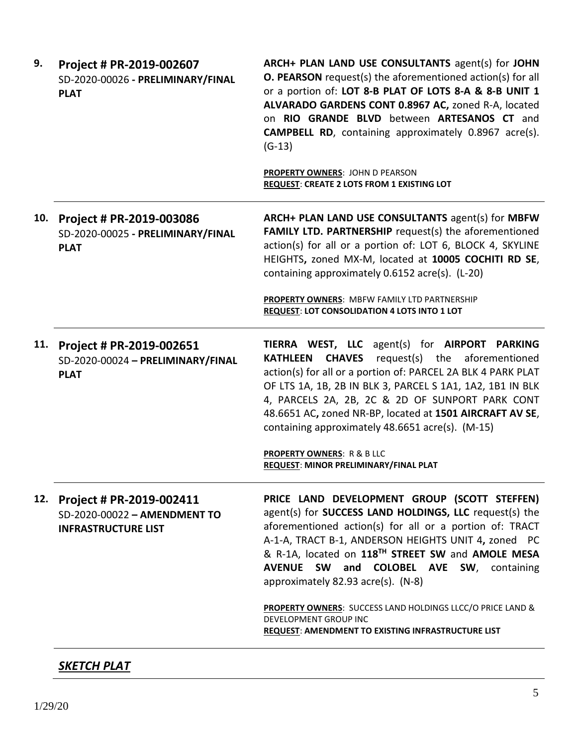| 9.  | Project # PR-2019-002607<br>SD-2020-00026 - PRELIMINARY/FINAL<br><b>PLAT</b>           | ARCH+ PLAN LAND USE CONSULTANTS agent(s) for JOHN<br><b>O. PEARSON</b> request(s) the aforementioned action(s) for all<br>or a portion of: LOT 8-B PLAT OF LOTS 8-A & 8-B UNIT 1<br>ALVARADO GARDENS CONT 0.8967 AC, zoned R-A, located<br>on RIO GRANDE BLVD between ARTESANOS CT and<br><b>CAMPBELL RD</b> , containing approximately 0.8967 acre(s).<br>$(G-13)$                                                |
|-----|----------------------------------------------------------------------------------------|--------------------------------------------------------------------------------------------------------------------------------------------------------------------------------------------------------------------------------------------------------------------------------------------------------------------------------------------------------------------------------------------------------------------|
|     |                                                                                        | PROPERTY OWNERS: JOHN D PEARSON<br><b>REQUEST: CREATE 2 LOTS FROM 1 EXISTING LOT</b>                                                                                                                                                                                                                                                                                                                               |
| 10. | Project # PR-2019-003086<br>SD-2020-00025 - PRELIMINARY/FINAL<br><b>PLAT</b>           | ARCH+ PLAN LAND USE CONSULTANTS agent(s) for MBFW<br>FAMILY LTD. PARTNERSHIP request(s) the aforementioned<br>action(s) for all or a portion of: LOT 6, BLOCK 4, SKYLINE<br>HEIGHTS, zoned MX-M, located at 10005 COCHITI RD SE,<br>containing approximately 0.6152 acre(s). (L-20)                                                                                                                                |
|     |                                                                                        | PROPERTY OWNERS: MBFW FAMILY LTD PARTNERSHIP<br><b>REQUEST: LOT CONSOLIDATION 4 LOTS INTO 1 LOT</b>                                                                                                                                                                                                                                                                                                                |
| 11. | Project # PR-2019-002651<br>SD-2020-00024 - PRELIMINARY/FINAL<br><b>PLAT</b>           | TIERRA WEST, LLC agent(s) for AIRPORT PARKING<br>request(s) the aforementioned<br><b>CHAVES</b><br><b>KATHLEEN</b><br>action(s) for all or a portion of: PARCEL 2A BLK 4 PARK PLAT<br>OF LTS 1A, 1B, 2B IN BLK 3, PARCEL S 1A1, 1A2, 1B1 IN BLK<br>4, PARCELS 2A, 2B, 2C & 2D OF SUNPORT PARK CONT<br>48.6651 AC, zoned NR-BP, located at 1501 AIRCRAFT AV SE,<br>containing approximately 48.6651 acre(s). (M-15) |
|     |                                                                                        | <b>PROPERTY OWNERS: R &amp; B LLC</b><br>REQUEST: MINOR PRELIMINARY/FINAL PLAT                                                                                                                                                                                                                                                                                                                                     |
| 12. | Project # PR-2019-002411<br>SD-2020-00022 - AMENDMENT TO<br><b>INFRASTRUCTURE LIST</b> | PRICE LAND DEVELOPMENT GROUP (SCOTT STEFFEN)<br>agent(s) for SUCCESS LAND HOLDINGS, LLC request(s) the<br>aforementioned action(s) for all or a portion of: TRACT<br>A-1-A, TRACT B-1, ANDERSON HEIGHTS UNIT 4, zoned PC<br>& R-1A, located on 118TH STREET SW and AMOLE MESA<br>AVENUE SW and COLOBEL AVE SW, containing<br>approximately 82.93 acre(s). (N-8)                                                    |
|     |                                                                                        | PROPERTY OWNERS: SUCCESS LAND HOLDINGS LLCC/O PRICE LAND &<br><b>DEVELOPMENT GROUP INC</b><br>REQUEST: AMENDMENT TO EXISTING INFRASTRUCTURE LIST                                                                                                                                                                                                                                                                   |
|     |                                                                                        |                                                                                                                                                                                                                                                                                                                                                                                                                    |

# *SKETCH PLAT*